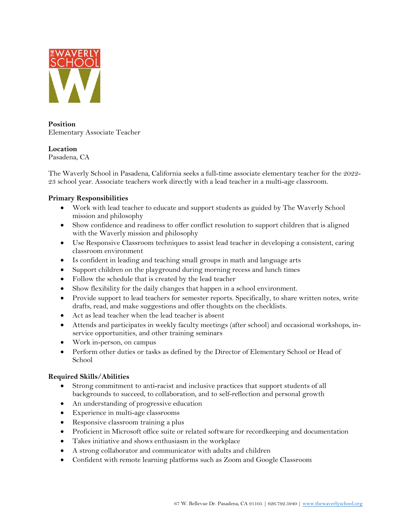

# **Position**

Elementary Associate Teacher

# **Location**

Pasadena, CA

The Waverly School in Pasadena, California seeks a full-time associate elementary teacher for the 2022- 23 school year. Associate teachers work directly with a lead teacher in a multi-age classroom.

# **Primary Responsibilities**

- Work with lead teacher to educate and support students as guided by The Waverly School mission and philosophy
- Show confidence and readiness to offer conflict resolution to support children that is aligned with the Waverly mission and philosophy
- Use Responsive Classroom techniques to assist lead teacher in developing a consistent, caring classroom environment
- Is confident in leading and teaching small groups in math and language arts
- Support children on the playground during morning recess and lunch times
- Follow the schedule that is created by the lead teacher
- Show flexibility for the daily changes that happen in a school environment.
- Provide support to lead teachers for semester reports. Specifically, to share written notes, write drafts, read, and make suggestions and offer thoughts on the checklists.
- Act as lead teacher when the lead teacher is absent
- Attends and participates in weekly faculty meetings (after school) and occasional workshops, inservice opportunities, and other training seminars
- Work in-person, on campus
- Perform other duties or tasks as defined by the Director of Elementary School or Head of School

# **Required Skills/Abilities**

- Strong commitment to anti-racist and inclusive practices that support students of all backgrounds to succeed, to collaboration, and to self-reflection and personal growth
- An understanding of progressive education
- Experience in multi-age classrooms
- Responsive classroom training a plus
- Proficient in Microsoft office suite or related software for recordkeeping and documentation
- Takes initiative and shows enthusiasm in the workplace
- A strong collaborator and communicator with adults and children
- Confident with remote learning platforms such as Zoom and Google Classroom